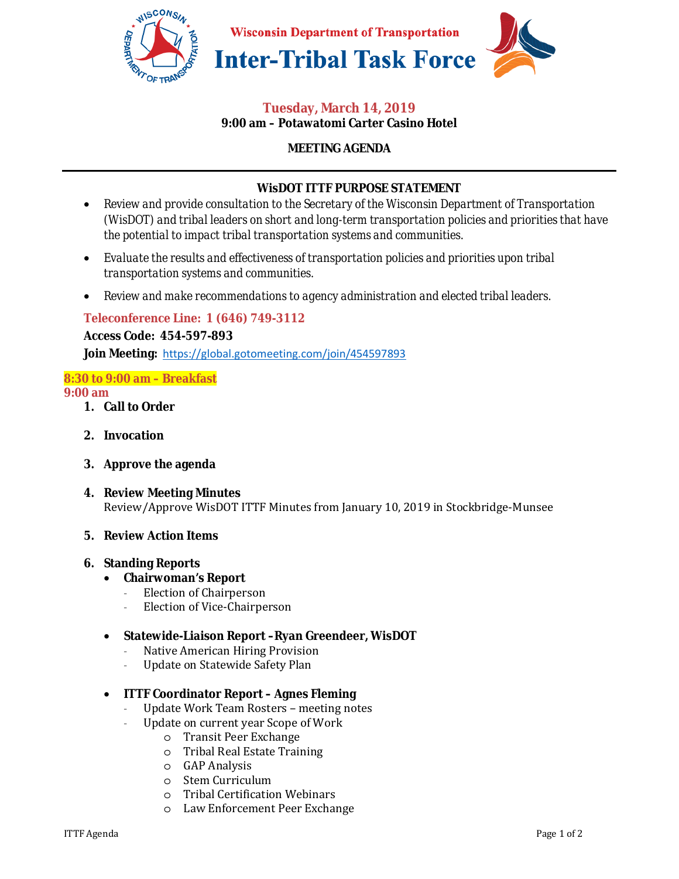

#### **Tuesday, March 14, 2019 9:00 am – Potawatomi Carter Casino Hotel**

## **MEETING AGENDA**

## **WisDOT ITTF PURPOSE STATEMENT**

- *Review and provide consultation to the Secretary of the Wisconsin Department of Transportation (WisDOT) and tribal leaders on short and long-term transportation policies and priorities that have the potential to impact tribal transportation systems and communities.*
- *Evaluate the results and effectiveness of transportation policies and priorities upon tribal transportation systems and communities.*
- *Review and make recommendations to agency administration and elected tribal leaders.*

## **Teleconference Line: 1 (646) 749-3112**

**Access Code: 454-597-893** 

**Join Meeting:** https://global.gotomeeting.com/join/454597893

# **8:30 to 9:00 am – Breakfast**

## **9:00 am**

- **1. Call to Order**
- **2. Invocation**
- **3. Approve the agenda**
- **4. Review Meeting Minutes**  Review/Approve WisDOT ITTF Minutes from January 10, 2019 in Stockbridge-Munsee

#### **5. Review Action Items**

#### **6. Standing Reports**

- **Chairwoman's Report**
	- Election of Chairperson
	- Election of Vice-Chairperson

#### • **Statewide-Liaison Report –Ryan Greendeer, WisDOT**

- Native American Hiring Provision
- Update on Statewide Safety Plan
- **ITTF Coordinator Report Agnes Fleming** 
	- Update Work Team Rosters meeting notes
	- Update on current year Scope of Work
		- o Transit Peer Exchange
		- o Tribal Real Estate Training
		- o GAP Analysis
		- o Stem Curriculum
		- o Tribal Certification Webinars
		- o Law Enforcement Peer Exchange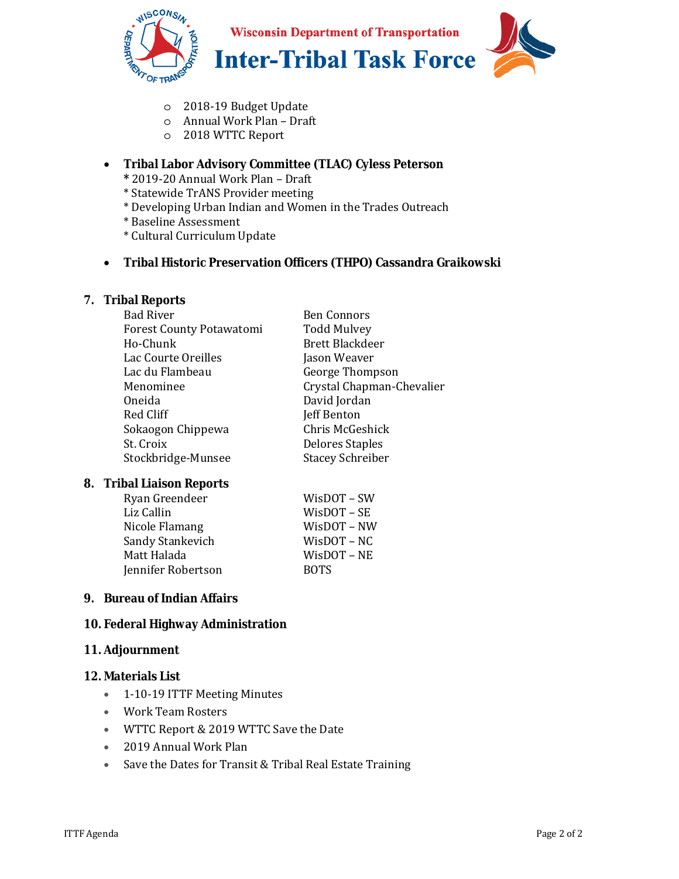

**Wisconsin Department of Transportation** 



**Inter-Tribal Task Force** 

- o 2018-19 Budget Update
- o Annual Work Plan Draft
- o 2018 WTTC Report

## • **Tribal Labor Advisory Committee (TLAC) Cyless Peterson**

- **\*** 2019-20 Annual Work Plan Draft
- \* Statewide TrANS Provider meeting
- \* Developing Urban Indian and Women in the Trades Outreach
- \* Baseline Assessment
- \* Cultural Curriculum Update

## • **Tribal Historic Preservation Officers (THPO) Cassandra Graikowski**

#### **7. Tribal Reports**

| <b>Bad River</b>                | <b>Ben Connors</b>        |
|---------------------------------|---------------------------|
| <b>Forest County Potawatomi</b> | <b>Todd Mulvey</b>        |
| Ho-Chunk                        | <b>Brett Blackdeer</b>    |
| Lac Courte Oreilles             | Jason Weaver              |
| Lac du Flambeau                 | George Thompson           |
| Menominee                       | Crystal Chapman-Chevalier |
| Oneida                          | David Jordan              |
| Red Cliff                       | <b>Jeff Benton</b>        |
| Sokaogon Chippewa               | Chris McGeshick           |
| St. Croix                       | <b>Delores Staples</b>    |
| Stockbridge-Munsee              | <b>Stacey Schreiber</b>   |
|                                 |                           |

#### **8. Tribal Liaison Reports**

| Ryan Greendeer     | WisDOT – SW       |
|--------------------|-------------------|
| Liz Callin         | $W$ isDOT – SE    |
| Nicole Flamang     | WisDOT - NW       |
| Sandy Stankevich   | WisDOT – NC       |
| Matt Halada        | $W$ is $DOT - NE$ |
| Jennifer Robertson | <b>BOTS</b>       |

## **9. Bureau of Indian Affairs**

#### **10. Federal Highway Administration**

#### **11. Adjournment**

#### **12. Materials List**

- 1-10-19 ITTF Meeting Minutes
- Work Team Rosters
- WTTC Report & 2019 WTTC Save the Date
- 2019 Annual Work Plan
- Save the Dates for Transit & Tribal Real Estate Training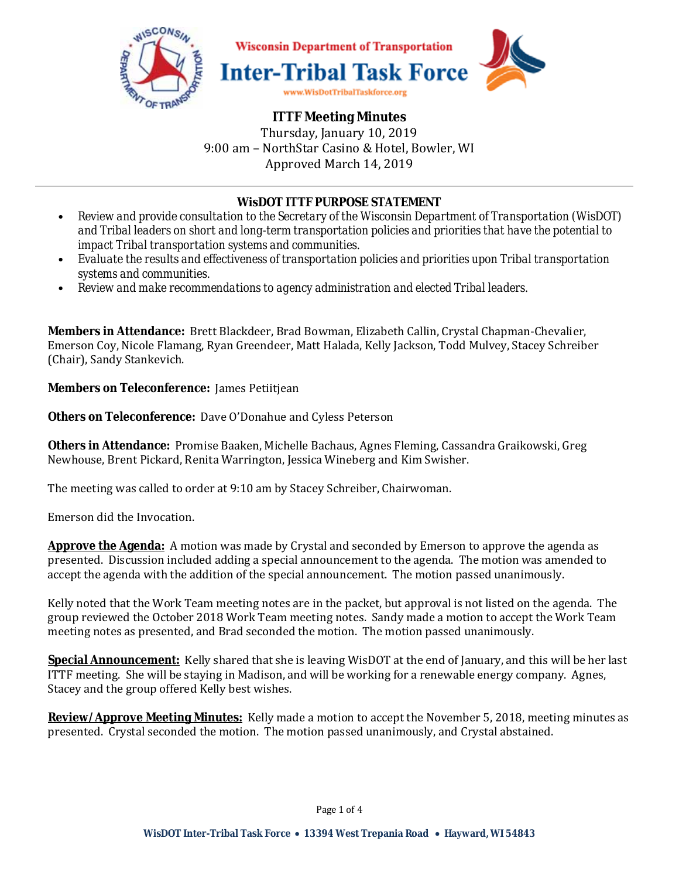

## **WisDOT ITTF PURPOSE STATEMENT**

- *Review and provide consultation to the Secretary of the Wisconsin Department of Transportation (WisDOT) and Tribal leaders on short and long-term transportation policies and priorities that have the potential to impact Tribal transportation systems and communities.*
- *Evaluate the results and effectiveness of transportation policies and priorities upon Tribal transportation systems and communities.*
- *Review and make recommendations to agency administration and elected Tribal leaders.*

**Members in Attendance:** Brett Blackdeer, Brad Bowman, Elizabeth Callin, Crystal Chapman-Chevalier, Emerson Coy, Nicole Flamang, Ryan Greendeer, Matt Halada, Kelly Jackson, Todd Mulvey, Stacey Schreiber (Chair), Sandy Stankevich.

**Members on Teleconference:** James Petiitjean

**Others on Teleconference:** Dave O'Donahue and Cyless Peterson

**Others in Attendance:** Promise Baaken, Michelle Bachaus, Agnes Fleming, Cassandra Graikowski, Greg Newhouse, Brent Pickard, Renita Warrington, Jessica Wineberg and Kim Swisher.

The meeting was called to order at 9:10 am by Stacey Schreiber, Chairwoman.

Emerson did the Invocation.

**Approve the Agenda:** A motion was made by Crystal and seconded by Emerson to approve the agenda as presented. Discussion included adding a special announcement to the agenda. The motion was amended to accept the agenda with the addition of the special announcement. The motion passed unanimously.

Kelly noted that the Work Team meeting notes are in the packet, but approval is not listed on the agenda. The group reviewed the October 2018 Work Team meeting notes. Sandy made a motion to accept the Work Team meeting notes as presented, and Brad seconded the motion. The motion passed unanimously.

**Special Announcement:** Kelly shared that she is leaving WisDOT at the end of January, and this will be her last ITTF meeting. She will be staying in Madison, and will be working for a renewable energy company. Agnes, Stacey and the group offered Kelly best wishes.

**Review/Approve Meeting Minutes:** Kelly made a motion to accept the November 5, 2018, meeting minutes as presented. Crystal seconded the motion. The motion passed unanimously, and Crystal abstained.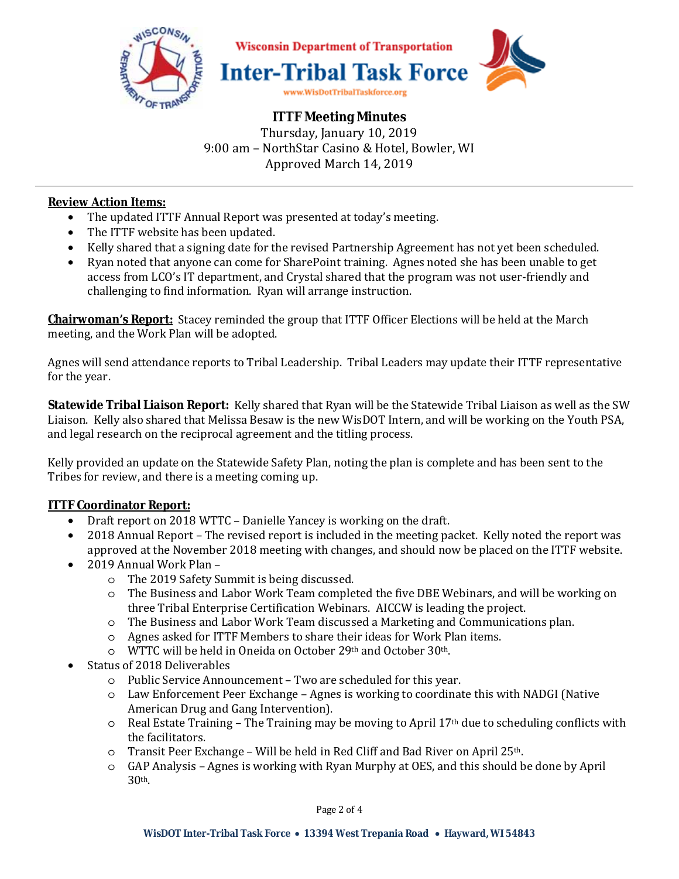

## **Review Action Items:**

- The updated ITTF Annual Report was presented at today's meeting.
- The ITTF website has been updated.
- Kelly shared that a signing date for the revised Partnership Agreement has not yet been scheduled.
- Ryan noted that anyone can come for SharePoint training. Agnes noted she has been unable to get access from LCO's IT department, and Crystal shared that the program was not user-friendly and challenging to find information. Ryan will arrange instruction.

**Chairwoman's Report:** Stacey reminded the group that ITTF Officer Elections will be held at the March meeting, and the Work Plan will be adopted.

Agnes will send attendance reports to Tribal Leadership. Tribal Leaders may update their ITTF representative for the year.

**Statewide Tribal Liaison Report:** Kelly shared that Ryan will be the Statewide Tribal Liaison as well as the SW Liaison. Kelly also shared that Melissa Besaw is the new WisDOT Intern, and will be working on the Youth PSA, and legal research on the reciprocal agreement and the titling process.

Kelly provided an update on the Statewide Safety Plan, noting the plan is complete and has been sent to the Tribes for review, and there is a meeting coming up.

## **ITTF Coordinator Report:**

- Draft report on 2018 WTTC Danielle Yancey is working on the draft.
- 2018 Annual Report The revised report is included in the meeting packet. Kelly noted the report was approved at the November 2018 meeting with changes, and should now be placed on the ITTF website.
- 2019 Annual Work Plan
	- o The 2019 Safety Summit is being discussed.
	- o The Business and Labor Work Team completed the five DBE Webinars, and will be working on three Tribal Enterprise Certification Webinars. AICCW is leading the project.
	- o The Business and Labor Work Team discussed a Marketing and Communications plan.
	- o Agnes asked for ITTF Members to share their ideas for Work Plan items.
	- o WTTC will be held in Oneida on October 29th and October 30th.
- Status of 2018 Deliverables
	- o Public Service Announcement Two are scheduled for this year.
	- o Law Enforcement Peer Exchange Agnes is working to coordinate this with NADGI (Native American Drug and Gang Intervention).
	- o Real Estate Training The Training may be moving to April 17th due to scheduling conflicts with the facilitators.
	- o Transit Peer Exchange Will be held in Red Cliff and Bad River on April 25th.
	- o GAP Analysis Agnes is working with Ryan Murphy at OES, and this should be done by April 30th.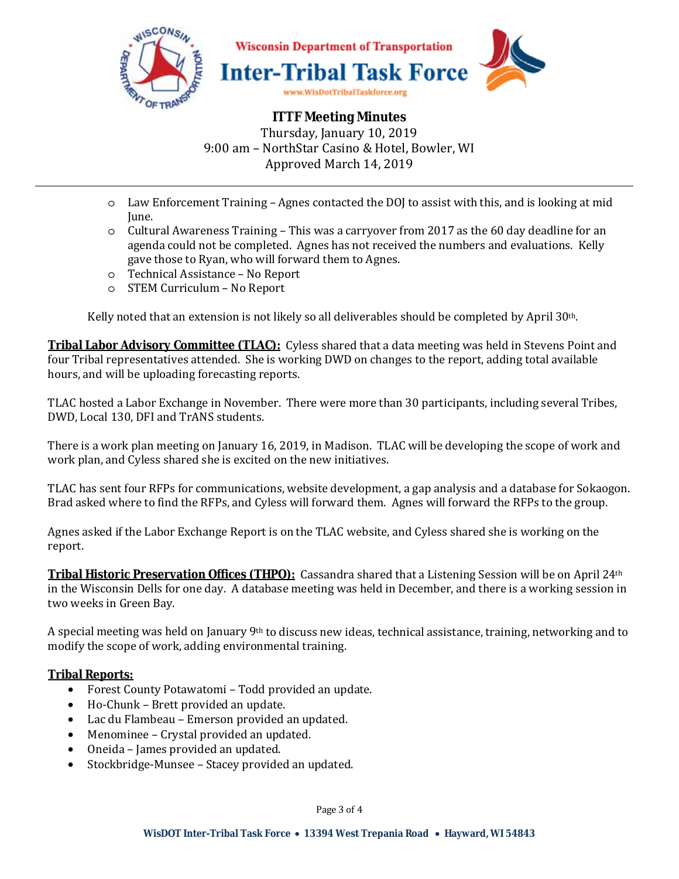

- o Law Enforcement Training Agnes contacted the DOJ to assist with this, and is looking at mid June.
- o Cultural Awareness Training This was a carryover from 2017 as the 60 day deadline for an agenda could not be completed. Agnes has not received the numbers and evaluations. Kelly gave those to Ryan, who will forward them to Agnes.
- o Technical Assistance No Report
- o STEM Curriculum No Report

Kelly noted that an extension is not likely so all deliverables should be completed by April 30th.

**Tribal Labor Advisory Committee (TLAC):** Cyless shared that a data meeting was held in Stevens Point and four Tribal representatives attended. She is working DWD on changes to the report, adding total available hours, and will be uploading forecasting reports.

TLAC hosted a Labor Exchange in November. There were more than 30 participants, including several Tribes, DWD, Local 130, DFI and TrANS students.

There is a work plan meeting on January 16, 2019, in Madison. TLAC will be developing the scope of work and work plan, and Cyless shared she is excited on the new initiatives.

TLAC has sent four RFPs for communications, website development, a gap analysis and a database for Sokaogon. Brad asked where to find the RFPs, and Cyless will forward them. Agnes will forward the RFPs to the group.

Agnes asked if the Labor Exchange Report is on the TLAC website, and Cyless shared she is working on the report.

**Tribal Historic Preservation Offices (THPO):** Cassandra shared that a Listening Session will be on April 24th in the Wisconsin Dells for one day. A database meeting was held in December, and there is a working session in two weeks in Green Bay.

A special meeting was held on January 9<sup>th</sup> to discuss new ideas, technical assistance, training, networking and to modify the scope of work, adding environmental training.

#### **Tribal Reports:**

- Forest County Potawatomi Todd provided an update.
- Ho-Chunk Brett provided an update.
- Lac du Flambeau Emerson provided an updated.
- Menominee Crystal provided an updated.
- Oneida James provided an updated.
- Stockbridge-Munsee Stacey provided an updated.